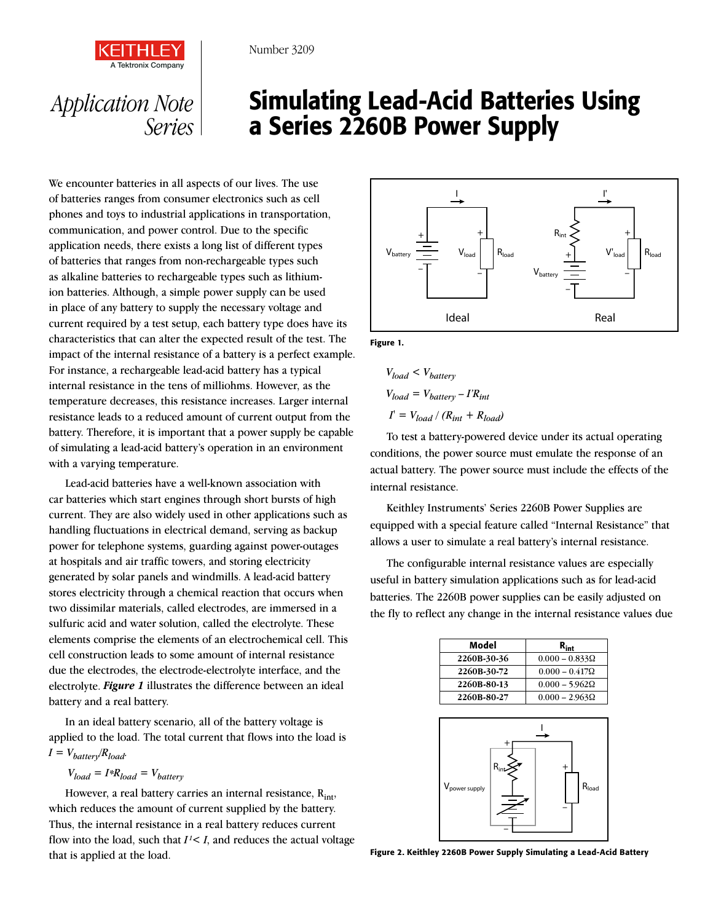

## *Application Note Series*

## Simulating Lead-Acid Batteries Using a Series 2260B Power Supply

We encounter batteries in all aspects of our lives. The use of batteries ranges from consumer electronics such as cell phones and toys to industrial applications in transportation, communication, and power control. Due to the specific application needs, there exists a long list of different types of batteries that ranges from non-rechargeable types such as alkaline batteries to rechargeable types such as lithiumion batteries. Although, a simple power supply can be used in place of any battery to supply the necessary voltage and current required by a test setup, each battery type does have its characteristics that can alter the expected result of the test. The impact of the internal resistance of a battery is a perfect example. For instance, a rechargeable lead-acid battery has a typical internal resistance in the tens of milliohms. However, as the temperature decreases, this resistance increases. Larger internal resistance leads to a reduced amount of current output from the battery. Therefore, it is important that a power supply be capable of simulating a lead-acid battery's operation in an environment with a varying temperature.

Lead-acid batteries have a well-known association with car batteries which start engines through short bursts of high current. They are also widely used in other applications such as handling fluctuations in electrical demand, serving as backup power for telephone systems, guarding against power-outages at hospitals and air traffic towers, and storing electricity generated by solar panels and windmills. A lead-acid battery stores electricity through a chemical reaction that occurs when two dissimilar materials, called electrodes, are immersed in a sulfuric acid and water solution, called the electrolyte. These elements comprise the elements of an electrochemical cell. This cell construction leads to some amount of internal resistance due the electrodes, the electrode-electrolyte interface, and the electrolyte. *Figure 1* illustrates the difference between an ideal battery and a real battery.

In an ideal battery scenario, all of the battery voltage is applied to the load. The total current that flows into the load is  $I = V_{batter} / R_{load}$ .

$$
V_{load} = I * R_{load} = V_{battery}
$$

However, a real battery carries an internal resistance,  $R_{int}$ , which reduces the amount of current supplied by the battery. Thus, the internal resistance in a real battery reduces current flow into the load, such that  $I^2 < I$ , and reduces the actual voltage that is applied at the load.



Figure 1.

$$
V_{load} < V_{battery}
$$
\n
$$
V_{load} = V_{battery} - I'R_{int}
$$
\n
$$
I = V_{load} / (R_{int} + R_{load})
$$

To test a battery-powered device under its actual operating conditions, the power source must emulate the response of an actual battery. The power source must include the effects of the internal resistance.

Keithley Instruments' Series 2260B Power Supplies are equipped with a special feature called "Internal Resistance" that allows a user to simulate a real battery's internal resistance.

The configurable internal resistance values are especially useful in battery simulation applications such as for lead-acid batteries. The 2260B power supplies can be easily adjusted on the fly to reflect any change in the internal resistance values due

| Model       | $R_{\sf int}$         |
|-------------|-----------------------|
| 2260B-30-36 | $0.000 - 0.833\Omega$ |
| 2260B-30-72 | $0.000 - 0.417\Omega$ |
| 2260B-80-13 | $0.000 - 5.962\Omega$ |
| 2260B-80-27 | $0.000 - 2.963\Omega$ |



Figure 2. Keithley 2260B Power Supply Simulating a Lead-Acid Battery